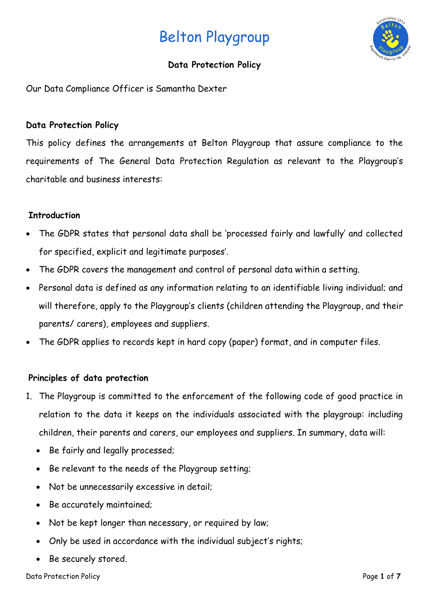

# **Data Protection Policy**

Our Data Compliance Officer is Samantha Dexter

# **Data Protection Policy**

This policy defines the arrangements at Belton Playgroup that assure compliance to the requirements of The General Data Protection Regulation as relevant to the Playgroup's charitable and business interests:

# **Introduction**

- The GDPR states that personal data shall be 'processed fairly and lawfully' and collected for specified, explicit and legitimate purposes'.
- The GDPR covers the management and control of personal data within a setting.
- Personal data is defined as any information relating to an identifiable living individual; and will therefore, apply to the Playgroup's clients (children attending the Playgroup, and their parents/ carers), employees and suppliers.
- The GDPR applies to records kept in hard copy (paper) format, and in computer files.

# **Principles of data protection**

- 1. The Playgroup is committed to the enforcement of the following code of good practice in relation to the data it keeps on the individuals associated with the playgroup: including children, their parents and carers, our employees and suppliers. In summary, data will:
	- Be fairly and legally processed;
	- Be relevant to the needs of the Playgroup setting;
	- Not be unnecessarily excessive in detail;
	- Be accurately maintained;
	- Not be kept longer than necessary, or required by law;
	- Only be used in accordance with the individual subject's rights;
	- Be securely stored.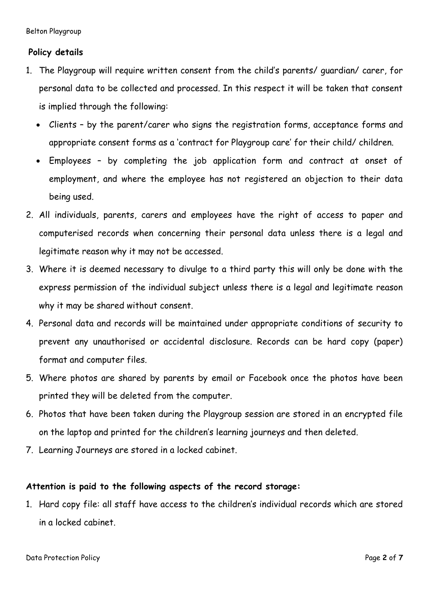# **Policy details**

- 1. The Playgroup will require written consent from the child's parents/ guardian/ carer, for personal data to be collected and processed. In this respect it will be taken that consent is implied through the following:
	- Clients by the parent/carer who signs the registration forms, acceptance forms and appropriate consent forms as a 'contract for Playgroup care' for their child/ children.
	- Employees by completing the job application form and contract at onset of employment, and where the employee has not registered an objection to their data being used.
- 2. All individuals, parents, carers and employees have the right of access to paper and computerised records when concerning their personal data unless there is a legal and legitimate reason why it may not be accessed.
- 3. Where it is deemed necessary to divulge to a third party this will only be done with the express permission of the individual subject unless there is a legal and legitimate reason why it may be shared without consent.
- 4. Personal data and records will be maintained under appropriate conditions of security to prevent any unauthorised or accidental disclosure. Records can be hard copy (paper) format and computer files.
- 5. Where photos are shared by parents by email or Facebook once the photos have been printed they will be deleted from the computer.
- 6. Photos that have been taken during the Playgroup session are stored in an encrypted file on the laptop and printed for the children's learning journeys and then deleted.
- 7. Learning Journeys are stored in a locked cabinet.

## **Attention is paid to the following aspects of the record storage:**

1. Hard copy file: all staff have access to the children's individual records which are stored in a locked cabinet.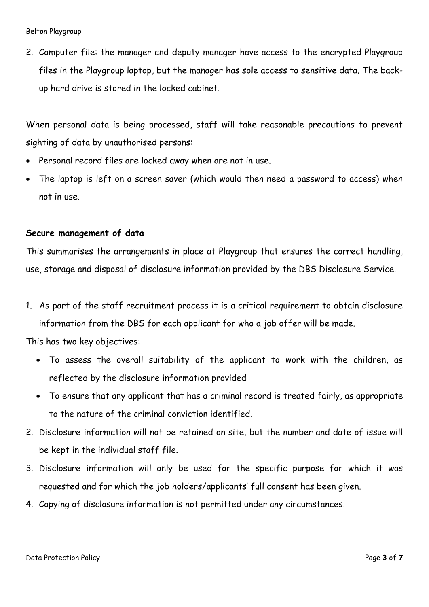2. Computer file: the manager and deputy manager have access to the encrypted Playgroup files in the Playgroup laptop, but the manager has sole access to sensitive data. The backup hard drive is stored in the locked cabinet.

When personal data is being processed, staff will take reasonable precautions to prevent sighting of data by unauthorised persons:

- Personal record files are locked away when are not in use.
- The laptop is left on a screen saver (which would then need a password to access) when not in use.

#### **Secure management of data**

This summarises the arrangements in place at Playgroup that ensures the correct handling, use, storage and disposal of disclosure information provided by the DBS Disclosure Service.

1. As part of the staff recruitment process it is a critical requirement to obtain disclosure information from the DBS for each applicant for who a job offer will be made.

This has two key objectives:

- To assess the overall suitability of the applicant to work with the children, as reflected by the disclosure information provided
- To ensure that any applicant that has a criminal record is treated fairly, as appropriate to the nature of the criminal conviction identified.
- 2. Disclosure information will not be retained on site, but the number and date of issue will be kept in the individual staff file.
- 3. Disclosure information will only be used for the specific purpose for which it was requested and for which the job holders/applicants' full consent has been given.
- 4. Copying of disclosure information is not permitted under any circumstances.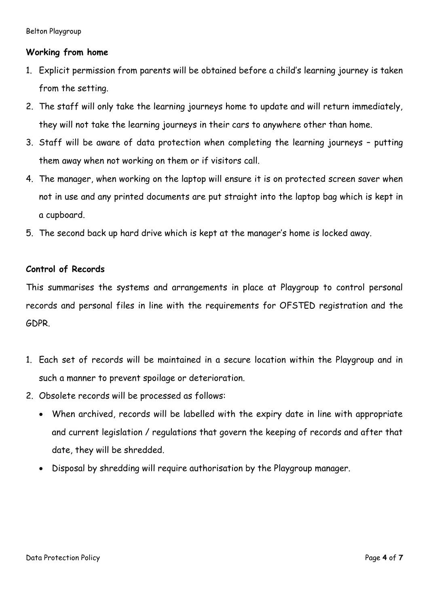## **Working from home**

- 1. Explicit permission from parents will be obtained before a child's learning journey is taken from the setting.
- 2. The staff will only take the learning journeys home to update and will return immediately, they will not take the learning journeys in their cars to anywhere other than home.
- 3. Staff will be aware of data protection when completing the learning journeys putting them away when not working on them or if visitors call.
- 4. The manager, when working on the laptop will ensure it is on protected screen saver when not in use and any printed documents are put straight into the laptop bag which is kept in a cupboard.
- 5. The second back up hard drive which is kept at the manager's home is locked away.

#### **Control of Records**

This summarises the systems and arrangements in place at Playgroup to control personal records and personal files in line with the requirements for OFSTED registration and the GDPR.

- 1. Each set of records will be maintained in a secure location within the Playgroup and in such a manner to prevent spoilage or deterioration.
- 2. Obsolete records will be processed as follows:
	- When archived, records will be labelled with the expiry date in line with appropriate and current legislation / regulations that govern the keeping of records and after that date, they will be shredded.
	- Disposal by shredding will require authorisation by the Playgroup manager.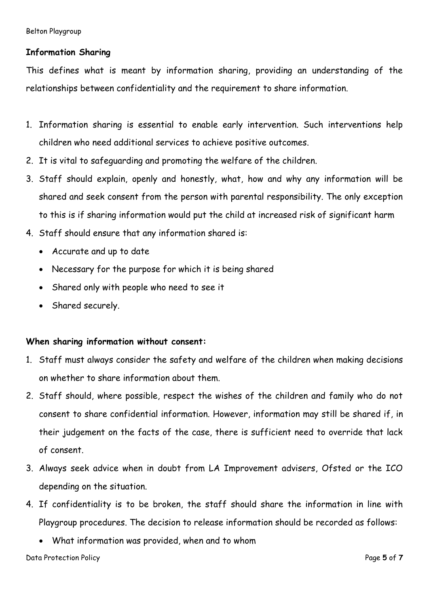# **Information Sharing**

This defines what is meant by information sharing, providing an understanding of the relationships between confidentiality and the requirement to share information.

- 1. Information sharing is essential to enable early intervention. Such interventions help children who need additional services to achieve positive outcomes.
- 2. It is vital to safeguarding and promoting the welfare of the children.
- 3. Staff should explain, openly and honestly, what, how and why any information will be shared and seek consent from the person with parental responsibility. The only exception to this is if sharing information would put the child at increased risk of significant harm
- 4. Staff should ensure that any information shared is:
	- Accurate and up to date
	- Necessary for the purpose for which it is being shared
	- Shared only with people who need to see it
	- Shared securely.

## **When sharing information without consent:**

- 1. Staff must always consider the safety and welfare of the children when making decisions on whether to share information about them.
- 2. Staff should, where possible, respect the wishes of the children and family who do not consent to share confidential information. However, information may still be shared if, in their judgement on the facts of the case, there is sufficient need to override that lack of consent.
- 3. Always seek advice when in doubt from LA Improvement advisers, Ofsted or the ICO depending on the situation.
- 4. If confidentiality is to be broken, the staff should share the information in line with Playgroup procedures. The decision to release information should be recorded as follows:
	- What information was provided, when and to whom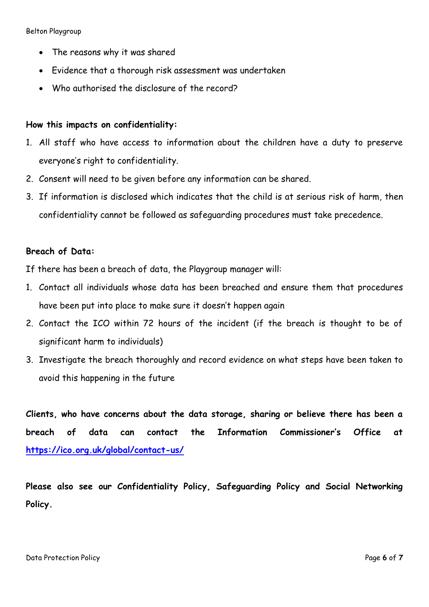- The reasons why it was shared
- Evidence that a thorough risk assessment was undertaken
- Who authorised the disclosure of the record?

#### **How this impacts on confidentiality:**

- 1. All staff who have access to information about the children have a duty to preserve everyone's right to confidentiality.
- 2. Consent will need to be given before any information can be shared.
- 3. If information is disclosed which indicates that the child is at serious risk of harm, then confidentiality cannot be followed as safeguarding procedures must take precedence.

## **Breach of Data:**

If there has been a breach of data, the Playgroup manager will:

- 1. Contact all individuals whose data has been breached and ensure them that procedures have been put into place to make sure it doesn't happen again
- 2. Contact the ICO within 72 hours of the incident (if the breach is thought to be of significant harm to individuals)
- 3. Investigate the breach thoroughly and record evidence on what steps have been taken to avoid this happening in the future

**Clients, who have concerns about the data storage, sharing or believe there has been a breach of data can contact the Information Commissioner's Office at <https://ico.org.uk/global/contact-us/>**

**Please also see our Confidentiality Policy, Safeguarding Policy and Social Networking Policy.**